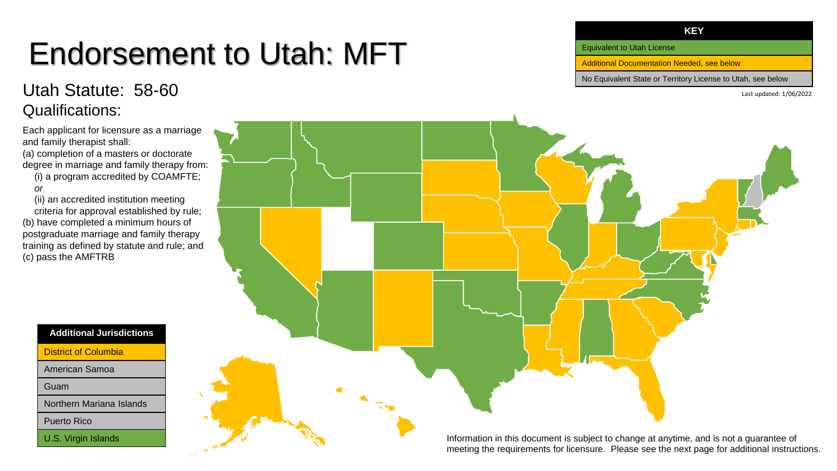# Endorsement to Utah: MFT

### Utah Statute: 58-60 Qualifications:

Each applicant for licensure as a marriage and family therapist shall:

(a) completion of a masters or doctorate degree in marriage and family therapy from:

(i) a program accredited by COAMFTE; *or*

(ii) an accredited institution meeting criteria for approval established by rule; (b) have completed a minimum hours of postgraduate marriage and family therapy training as defined by statute and rule; and (c) pass the AMFTRB

**Additional Jurisdictions**

District of Columbia

American Samoa

Guam

Northern Mariana Islands

Puerto Rico

U.S. Virgin Islands



Equivalent to Utah License

Additional Documentation Needed, see below

No Equivalent State or Territory License to Utah, see below

Last updated: 1/06/2022

Information in this document is subject to change at anytime, and is not a guarantee of meeting the requirements for licensure. Please see the next page for additional instructions.

#### **KEY**